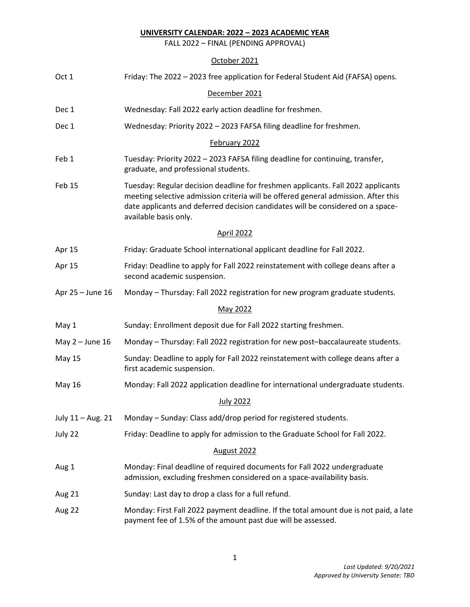FALL 2022 – FINAL (PENDING APPROVAL)

# October 2021

| Oct 1             | Friday: The 2022 - 2023 free application for Federal Student Aid (FAFSA) opens.                                                                                                                                                                                                    |  |  |  |  |
|-------------------|------------------------------------------------------------------------------------------------------------------------------------------------------------------------------------------------------------------------------------------------------------------------------------|--|--|--|--|
|                   | December 2021                                                                                                                                                                                                                                                                      |  |  |  |  |
| Dec 1             | Wednesday: Fall 2022 early action deadline for freshmen.                                                                                                                                                                                                                           |  |  |  |  |
| Dec 1             | Wednesday: Priority 2022 - 2023 FAFSA filing deadline for freshmen.                                                                                                                                                                                                                |  |  |  |  |
|                   | February 2022                                                                                                                                                                                                                                                                      |  |  |  |  |
| Feb 1             | Tuesday: Priority 2022 - 2023 FAFSA filing deadline for continuing, transfer,<br>graduate, and professional students.                                                                                                                                                              |  |  |  |  |
| Feb 15            | Tuesday: Regular decision deadline for freshmen applicants. Fall 2022 applicants<br>meeting selective admission criteria will be offered general admission. After this<br>date applicants and deferred decision candidates will be considered on a space-<br>available basis only. |  |  |  |  |
|                   | <b>April 2022</b>                                                                                                                                                                                                                                                                  |  |  |  |  |
| Apr 15            | Friday: Graduate School international applicant deadline for Fall 2022.                                                                                                                                                                                                            |  |  |  |  |
| Apr 15            | Friday: Deadline to apply for Fall 2022 reinstatement with college deans after a<br>second academic suspension.                                                                                                                                                                    |  |  |  |  |
| Apr 25 - June 16  | Monday - Thursday: Fall 2022 registration for new program graduate students.                                                                                                                                                                                                       |  |  |  |  |
|                   | May 2022                                                                                                                                                                                                                                                                           |  |  |  |  |
| May 1             | Sunday: Enrollment deposit due for Fall 2022 starting freshmen.                                                                                                                                                                                                                    |  |  |  |  |
| May $2 -$ June 16 | Monday - Thursday: Fall 2022 registration for new post-baccalaureate students.                                                                                                                                                                                                     |  |  |  |  |
| <b>May 15</b>     | Sunday: Deadline to apply for Fall 2022 reinstatement with college deans after a<br>first academic suspension.                                                                                                                                                                     |  |  |  |  |
| May 16            | Monday: Fall 2022 application deadline for international undergraduate students.                                                                                                                                                                                                   |  |  |  |  |
|                   | <b>July 2022</b>                                                                                                                                                                                                                                                                   |  |  |  |  |
| July 11 - Aug. 21 | Monday - Sunday: Class add/drop period for registered students.                                                                                                                                                                                                                    |  |  |  |  |
| July 22           | Friday: Deadline to apply for admission to the Graduate School for Fall 2022.                                                                                                                                                                                                      |  |  |  |  |
|                   | August 2022                                                                                                                                                                                                                                                                        |  |  |  |  |
| Aug 1             | Monday: Final deadline of required documents for Fall 2022 undergraduate<br>admission, excluding freshmen considered on a space-availability basis.                                                                                                                                |  |  |  |  |
| Aug 21            | Sunday: Last day to drop a class for a full refund.                                                                                                                                                                                                                                |  |  |  |  |
| Aug 22            | Monday: First Fall 2022 payment deadline. If the total amount due is not paid, a late<br>payment fee of 1.5% of the amount past due will be assessed.                                                                                                                              |  |  |  |  |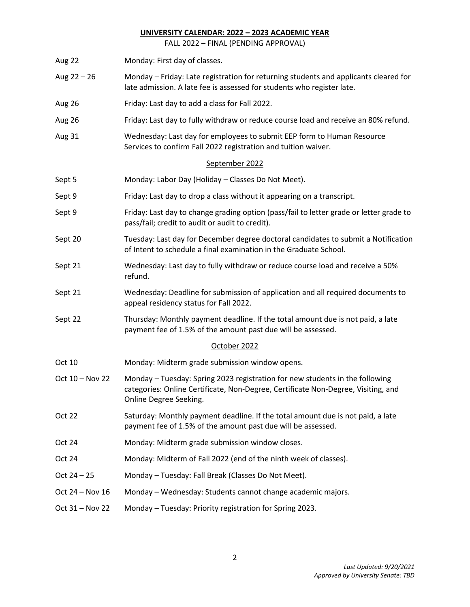FALL 2022 – FINAL (PENDING APPROVAL)

- Aug 22 Monday: First day of classes. Aug 22 – 26 Monday – Friday: Late registration for returning students and applicants cleared for late admission. A late fee is assessed for students who register late. Aug 26 Friday: Last day to add a class for Fall 2022. Aug 26 Friday: Last day to fully withdraw or reduce course load and receive an 80% refund. Aug 31 Wednesday: Last day for employees to submit EEP form to Human Resource Services to confirm Fall 2022 registration and tuition waiver. September 2022 Sept 5 Monday: Labor Day (Holiday – Classes Do Not Meet). Sept 9 Friday: Last day to drop a class without it appearing on a transcript. Sept 9 Friday: Last day to change grading option (pass/fail to letter grade or letter grade to pass/fail; credit to audit or audit to credit). Sept 20 Tuesday: Last day for December degree doctoral candidates to submit a Notification of Intent to schedule a final examination in the Graduate School. Sept 21 Wednesday: Last day to fully withdraw or reduce course load and receive a 50% refund. Sept 21 Wednesday: Deadline for submission of application and all required documents to appeal residency status for Fall 2022. Sept 22 Thursday: Monthly payment deadline. If the total amount due is not paid, a late payment fee of 1.5% of the amount past due will be assessed. October 2022 Oct 10 Monday: Midterm grade submission window opens. Oct 10 – Nov 22 Monday – Tuesday: Spring 2023 registration for new students in the following categories: Online Certificate, Non-Degree, Certificate Non-Degree, Visiting, and Online Degree Seeking. Oct 22 Saturday: Monthly payment deadline. If the total amount due is not paid, a late payment fee of 1.5% of the amount past due will be assessed. Oct 24 Monday: Midterm grade submission window closes. Oct 24 Monday: Midterm of Fall 2022 (end of the ninth week of classes). Oct 24 – 25 Monday – Tuesday: Fall Break (Classes Do Not Meet). Oct 24 – Nov 16 Monday – Wednesday: Students cannot change academic majors.
- Oct 31 Nov 22 Monday Tuesday: Priority registration for Spring 2023.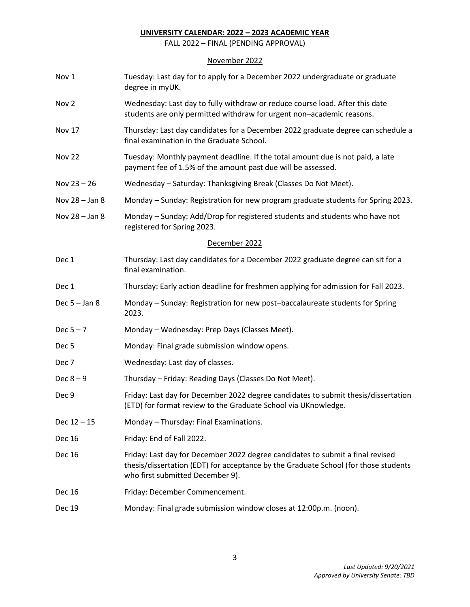FALL 2022 – FINAL (PENDING APPROVAL)

# November 2022

| Nov 1            | Tuesday: Last day for to apply for a December 2022 undergraduate or graduate<br>degree in myUK.                                                                                                           |  |  |  |
|------------------|-----------------------------------------------------------------------------------------------------------------------------------------------------------------------------------------------------------|--|--|--|
| Nov 2            | Wednesday: Last day to fully withdraw or reduce course load. After this date<br>students are only permitted withdraw for urgent non-academic reasons.                                                     |  |  |  |
| Nov 17           | Thursday: Last day candidates for a December 2022 graduate degree can schedule a<br>final examination in the Graduate School.                                                                             |  |  |  |
| <b>Nov 22</b>    | Tuesday: Monthly payment deadline. If the total amount due is not paid, a late<br>payment fee of 1.5% of the amount past due will be assessed.                                                            |  |  |  |
| Nov $23 - 26$    | Wednesday - Saturday: Thanksgiving Break (Classes Do Not Meet).                                                                                                                                           |  |  |  |
| Nov 28 - Jan 8   | Monday - Sunday: Registration for new program graduate students for Spring 2023.                                                                                                                          |  |  |  |
| Nov 28 - Jan 8   | Monday - Sunday: Add/Drop for registered students and students who have not<br>registered for Spring 2023.                                                                                                |  |  |  |
|                  | December 2022                                                                                                                                                                                             |  |  |  |
| Dec 1            | Thursday: Last day candidates for a December 2022 graduate degree can sit for a<br>final examination.                                                                                                     |  |  |  |
| Dec 1            | Thursday: Early action deadline for freshmen applying for admission for Fall 2023.                                                                                                                        |  |  |  |
| Dec $5 -$ Jan 8  | Monday - Sunday: Registration for new post-baccalaureate students for Spring<br>2023.                                                                                                                     |  |  |  |
| Dec $5 - 7$      | Monday - Wednesday: Prep Days (Classes Meet).                                                                                                                                                             |  |  |  |
| Dec <sub>5</sub> | Monday: Final grade submission window opens.                                                                                                                                                              |  |  |  |
| Dec 7            | Wednesday: Last day of classes.                                                                                                                                                                           |  |  |  |
| Dec $8-9$        | Thursday - Friday: Reading Days (Classes Do Not Meet).                                                                                                                                                    |  |  |  |
| Dec 9            | Friday: Last day for December 2022 degree candidates to submit thesis/dissertation<br>(ETD) for format review to the Graduate School via UKnowledge.                                                      |  |  |  |
| $Dec 12 - 15$    | Monday - Thursday: Final Examinations.                                                                                                                                                                    |  |  |  |
| <b>Dec 16</b>    | Friday: End of Fall 2022.                                                                                                                                                                                 |  |  |  |
| <b>Dec 16</b>    | Friday: Last day for December 2022 degree candidates to submit a final revised<br>thesis/dissertation (EDT) for acceptance by the Graduate School (for those students<br>who first submitted December 9). |  |  |  |
| Dec 16           | Friday: December Commencement.                                                                                                                                                                            |  |  |  |
| <b>Dec 19</b>    | Monday: Final grade submission window closes at 12:00p.m. (noon).                                                                                                                                         |  |  |  |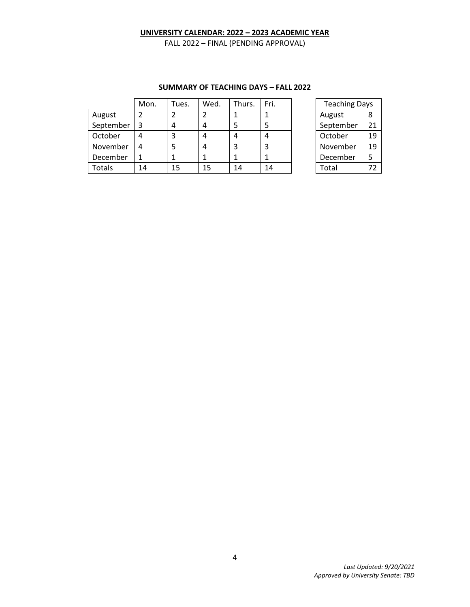FALL 2022 – FINAL (PENDING APPROVAL)

|               | Mon. | Tues. | Wed. | Thurs. | Fri. | <b>Teaching Days</b> |    |
|---------------|------|-------|------|--------|------|----------------------|----|
| August        |      |       |      |        |      | August               | 8  |
| September     | 3    | 4     | 4    | 5      | 5    | September            | 21 |
| October       |      | 3     | 4    | 4      | 4    | October              | 19 |
| November      | 4    | 5     | 4    | 3      | 3    | November             | 19 |
| December      |      |       |      |        |      | December             |    |
| <b>Totals</b> | 14   | 15    | 15   | 14     | 14   | Total                | 72 |

#### **SUMMARY OF TEACHING DAYS – FALL 2022**

| <b>Teaching Days</b> |    |  |  |  |  |
|----------------------|----|--|--|--|--|
| August               | 8  |  |  |  |  |
| September            | 21 |  |  |  |  |
| October              | 19 |  |  |  |  |
| November             | 19 |  |  |  |  |
| December             | 5  |  |  |  |  |
| Total                | 72 |  |  |  |  |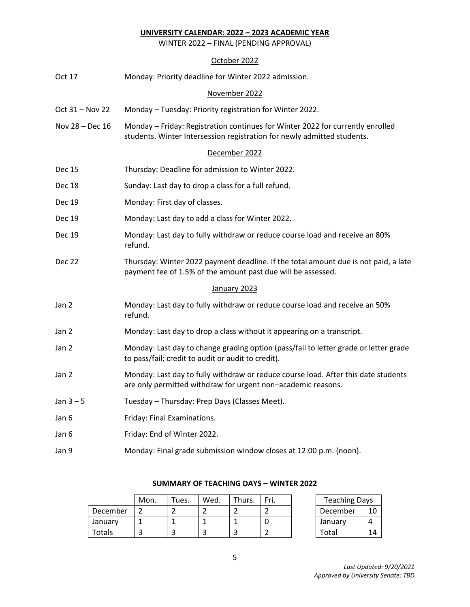WINTER 2022 – FINAL (PENDING APPROVAL)

# October 2022

| Oct 17            | Monday: Priority deadline for Winter 2022 admission.                                                                                                      |  |  |  |  |
|-------------------|-----------------------------------------------------------------------------------------------------------------------------------------------------------|--|--|--|--|
| November 2022     |                                                                                                                                                           |  |  |  |  |
| Oct $31 -$ Nov 22 | Monday - Tuesday: Priority registration for Winter 2022.                                                                                                  |  |  |  |  |
| Nov 28 - Dec 16   | Monday - Friday: Registration continues for Winter 2022 for currently enrolled<br>students. Winter Intersession registration for newly admitted students. |  |  |  |  |
|                   | December 2022                                                                                                                                             |  |  |  |  |
| <b>Dec 15</b>     | Thursday: Deadline for admission to Winter 2022.                                                                                                          |  |  |  |  |
| Dec 18            | Sunday: Last day to drop a class for a full refund.                                                                                                       |  |  |  |  |
| Dec 19            | Monday: First day of classes.                                                                                                                             |  |  |  |  |
| Dec 19            | Monday: Last day to add a class for Winter 2022.                                                                                                          |  |  |  |  |
| <b>Dec 19</b>     | Monday: Last day to fully withdraw or reduce course load and receive an 80%<br>refund.                                                                    |  |  |  |  |
| Dec 22            | Thursday: Winter 2022 payment deadline. If the total amount due is not paid, a late<br>payment fee of 1.5% of the amount past due will be assessed.       |  |  |  |  |
|                   | January 2023                                                                                                                                              |  |  |  |  |
| Jan 2             | Monday: Last day to fully withdraw or reduce course load and receive an 50%<br>refund.                                                                    |  |  |  |  |
| Jan 2             | Monday: Last day to drop a class without it appearing on a transcript.                                                                                    |  |  |  |  |
| Jan 2             | Monday: Last day to change grading option (pass/fail to letter grade or letter grade<br>to pass/fail; credit to audit or audit to credit).                |  |  |  |  |
| Jan 2             | Monday: Last day to fully withdraw or reduce course load. After this date students<br>are only permitted withdraw for urgent non-academic reasons.        |  |  |  |  |
| Jan $3-5$         | Tuesday - Thursday: Prep Days (Classes Meet).                                                                                                             |  |  |  |  |
| Jan 6             | Friday: Final Examinations.                                                                                                                               |  |  |  |  |
| Jan 6             | Friday: End of Winter 2022.                                                                                                                               |  |  |  |  |
| Jan 9             | Monday: Final grade submission window closes at 12:00 p.m. (noon).                                                                                        |  |  |  |  |

|          | Mon. | $\tau$ ues. | Wed. | Thurs. | Fri. | <b>Teaching Days</b> |    |
|----------|------|-------------|------|--------|------|----------------------|----|
| December |      |             |      |        |      | December             | 10 |
| January  |      |             |      |        |      | January              |    |
| Totals   |      |             |      |        |      | Total                | 14 |

### **SUMMARY OF TEACHING DAYS – WINTER 2022**

| <b>Teaching Days</b> |    |  |  |  |  |
|----------------------|----|--|--|--|--|
| December             | 10 |  |  |  |  |
| January              |    |  |  |  |  |
| Total                | 14 |  |  |  |  |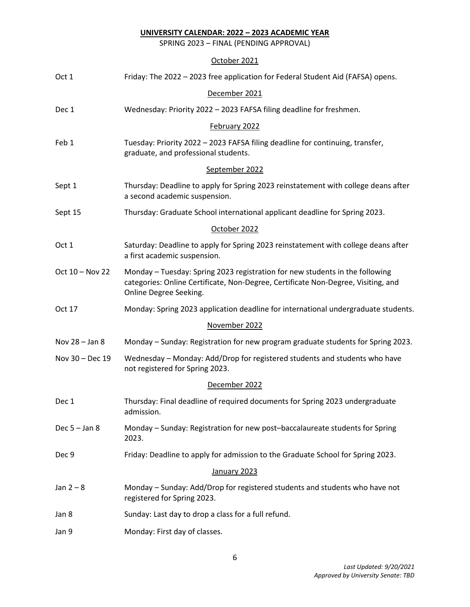SPRING 2023 – FINAL (PENDING APPROVAL)

# October 2021

| Oct 1           | Friday: The 2022 - 2023 free application for Federal Student Aid (FAFSA) opens.                                                                                                             |  |  |  |  |
|-----------------|---------------------------------------------------------------------------------------------------------------------------------------------------------------------------------------------|--|--|--|--|
| December 2021   |                                                                                                                                                                                             |  |  |  |  |
| Dec 1           | Wednesday: Priority 2022 - 2023 FAFSA filing deadline for freshmen.                                                                                                                         |  |  |  |  |
|                 | February 2022                                                                                                                                                                               |  |  |  |  |
| Feb 1           | Tuesday: Priority 2022 - 2023 FAFSA filing deadline for continuing, transfer,<br>graduate, and professional students.                                                                       |  |  |  |  |
|                 | September 2022                                                                                                                                                                              |  |  |  |  |
| Sept 1          | Thursday: Deadline to apply for Spring 2023 reinstatement with college deans after<br>a second academic suspension.                                                                         |  |  |  |  |
| Sept 15         | Thursday: Graduate School international applicant deadline for Spring 2023.                                                                                                                 |  |  |  |  |
|                 | October 2022                                                                                                                                                                                |  |  |  |  |
| Oct 1           | Saturday: Deadline to apply for Spring 2023 reinstatement with college deans after<br>a first academic suspension.                                                                          |  |  |  |  |
| Oct 10 - Nov 22 | Monday - Tuesday: Spring 2023 registration for new students in the following<br>categories: Online Certificate, Non-Degree, Certificate Non-Degree, Visiting, and<br>Online Degree Seeking. |  |  |  |  |
| Oct 17          | Monday: Spring 2023 application deadline for international undergraduate students.                                                                                                          |  |  |  |  |
|                 | November 2022                                                                                                                                                                               |  |  |  |  |
| Nov 28 - Jan 8  | Monday - Sunday: Registration for new program graduate students for Spring 2023.                                                                                                            |  |  |  |  |
| Nov 30 - Dec 19 | Wednesday - Monday: Add/Drop for registered students and students who have<br>not registered for Spring 2023.                                                                               |  |  |  |  |
|                 | December 2022                                                                                                                                                                               |  |  |  |  |
| Dec 1           | Thursday: Final deadline of required documents for Spring 2023 undergraduate<br>admission.                                                                                                  |  |  |  |  |
| Dec $5 -$ Jan 8 | Monday - Sunday: Registration for new post-baccalaureate students for Spring<br>2023.                                                                                                       |  |  |  |  |
| Dec 9           | Friday: Deadline to apply for admission to the Graduate School for Spring 2023.                                                                                                             |  |  |  |  |
|                 | January 2023                                                                                                                                                                                |  |  |  |  |
| Jan $2-8$       | Monday - Sunday: Add/Drop for registered students and students who have not<br>registered for Spring 2023.                                                                                  |  |  |  |  |
| Jan 8           | Sunday: Last day to drop a class for a full refund.                                                                                                                                         |  |  |  |  |
| Jan 9           | Monday: First day of classes.                                                                                                                                                               |  |  |  |  |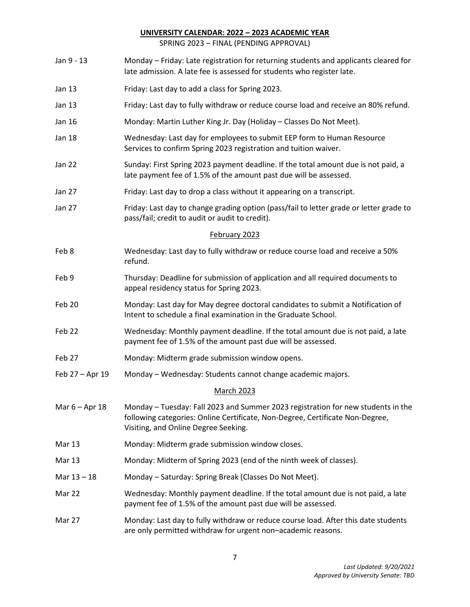SPRING 2023 – FINAL (PENDING APPROVAL)

| Jan 9 - 13       | Monday - Friday: Late registration for returning students and applicants cleared for<br>late admission. A late fee is assessed for students who register late.                                            |  |  |  |  |
|------------------|-----------------------------------------------------------------------------------------------------------------------------------------------------------------------------------------------------------|--|--|--|--|
| Jan 13           | Friday: Last day to add a class for Spring 2023.                                                                                                                                                          |  |  |  |  |
| Jan 13           | Friday: Last day to fully withdraw or reduce course load and receive an 80% refund.                                                                                                                       |  |  |  |  |
| Jan 16           | Monday: Martin Luther King Jr. Day (Holiday - Classes Do Not Meet).                                                                                                                                       |  |  |  |  |
| Jan 18           | Wednesday: Last day for employees to submit EEP form to Human Resource<br>Services to confirm Spring 2023 registration and tuition waiver.                                                                |  |  |  |  |
| Jan 22           | Sunday: First Spring 2023 payment deadline. If the total amount due is not paid, a<br>late payment fee of 1.5% of the amount past due will be assessed.                                                   |  |  |  |  |
| Jan 27           | Friday: Last day to drop a class without it appearing on a transcript.                                                                                                                                    |  |  |  |  |
| Jan 27           | Friday: Last day to change grading option (pass/fail to letter grade or letter grade to<br>pass/fail; credit to audit or audit to credit).                                                                |  |  |  |  |
|                  | February 2023                                                                                                                                                                                             |  |  |  |  |
| Feb 8            | Wednesday: Last day to fully withdraw or reduce course load and receive a 50%<br>refund.                                                                                                                  |  |  |  |  |
| Feb 9            | Thursday: Deadline for submission of application and all required documents to<br>appeal residency status for Spring 2023.                                                                                |  |  |  |  |
| Feb 20           | Monday: Last day for May degree doctoral candidates to submit a Notification of<br>Intent to schedule a final examination in the Graduate School.                                                         |  |  |  |  |
| Feb 22           | Wednesday: Monthly payment deadline. If the total amount due is not paid, a late<br>payment fee of 1.5% of the amount past due will be assessed.                                                          |  |  |  |  |
| Feb 27           | Monday: Midterm grade submission window opens.                                                                                                                                                            |  |  |  |  |
| Feb 27 - Apr 19  | Monday - Wednesday: Students cannot change academic majors.                                                                                                                                               |  |  |  |  |
|                  | <b>March 2023</b>                                                                                                                                                                                         |  |  |  |  |
| Mar $6 -$ Apr 18 | Monday - Tuesday: Fall 2023 and Summer 2023 registration for new students in the<br>following categories: Online Certificate, Non-Degree, Certificate Non-Degree,<br>Visiting, and Online Degree Seeking. |  |  |  |  |
| Mar 13           | Monday: Midterm grade submission window closes.                                                                                                                                                           |  |  |  |  |
| <b>Mar 13</b>    | Monday: Midterm of Spring 2023 (end of the ninth week of classes).                                                                                                                                        |  |  |  |  |
| Mar 13 - 18      | Monday - Saturday: Spring Break (Classes Do Not Meet).                                                                                                                                                    |  |  |  |  |
| Mar 22           | Wednesday: Monthly payment deadline. If the total amount due is not paid, a late<br>payment fee of 1.5% of the amount past due will be assessed.                                                          |  |  |  |  |
| Mar 27           | Monday: Last day to fully withdraw or reduce course load. After this date students<br>are only permitted withdraw for urgent non-academic reasons.                                                        |  |  |  |  |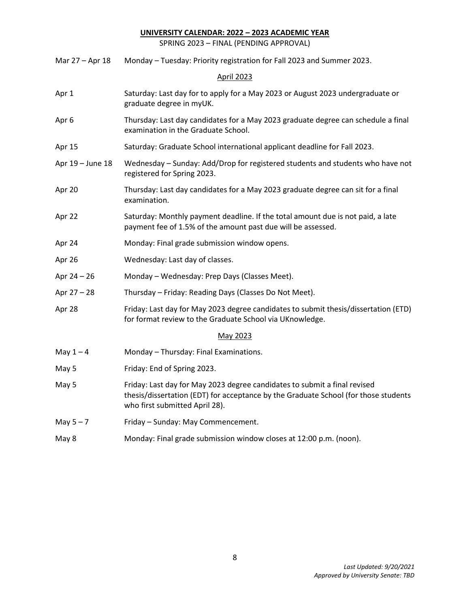SPRING 2023 – FINAL (PENDING APPROVAL)

| Mar 27 - Apr 18  | Monday - Tuesday: Priority registration for Fall 2023 and Summer 2023.                                                                                                                             |  |  |  |  |  |
|------------------|----------------------------------------------------------------------------------------------------------------------------------------------------------------------------------------------------|--|--|--|--|--|
|                  | <b>April 2023</b>                                                                                                                                                                                  |  |  |  |  |  |
| Apr 1            | Saturday: Last day for to apply for a May 2023 or August 2023 undergraduate or<br>graduate degree in myUK.                                                                                         |  |  |  |  |  |
| Apr 6            | Thursday: Last day candidates for a May 2023 graduate degree can schedule a final<br>examination in the Graduate School.                                                                           |  |  |  |  |  |
| Apr 15           | Saturday: Graduate School international applicant deadline for Fall 2023.                                                                                                                          |  |  |  |  |  |
| Apr 19 - June 18 | Wednesday - Sunday: Add/Drop for registered students and students who have not<br>registered for Spring 2023.                                                                                      |  |  |  |  |  |
| Apr 20           | Thursday: Last day candidates for a May 2023 graduate degree can sit for a final<br>examination.                                                                                                   |  |  |  |  |  |
| Apr 22           | Saturday: Monthly payment deadline. If the total amount due is not paid, a late<br>payment fee of 1.5% of the amount past due will be assessed.                                                    |  |  |  |  |  |
| Apr 24           | Monday: Final grade submission window opens.                                                                                                                                                       |  |  |  |  |  |
| Apr 26           | Wednesday: Last day of classes.                                                                                                                                                                    |  |  |  |  |  |
| Apr $24 - 26$    | Monday - Wednesday: Prep Days (Classes Meet).                                                                                                                                                      |  |  |  |  |  |
| Apr $27 - 28$    | Thursday - Friday: Reading Days (Classes Do Not Meet).                                                                                                                                             |  |  |  |  |  |
| Apr 28           | Friday: Last day for May 2023 degree candidates to submit thesis/dissertation (ETD)<br>for format review to the Graduate School via UKnowledge.                                                    |  |  |  |  |  |
|                  | May 2023                                                                                                                                                                                           |  |  |  |  |  |
| May $1 - 4$      | Monday - Thursday: Final Examinations.                                                                                                                                                             |  |  |  |  |  |
| May 5            | Friday: End of Spring 2023.                                                                                                                                                                        |  |  |  |  |  |
| May 5            | Friday: Last day for May 2023 degree candidates to submit a final revised<br>thesis/dissertation (EDT) for acceptance by the Graduate School (for those students<br>who first submitted April 28). |  |  |  |  |  |
| May $5 - 7$      | Friday - Sunday: May Commencement.                                                                                                                                                                 |  |  |  |  |  |
| May 8            | Monday: Final grade submission window closes at 12:00 p.m. (noon).                                                                                                                                 |  |  |  |  |  |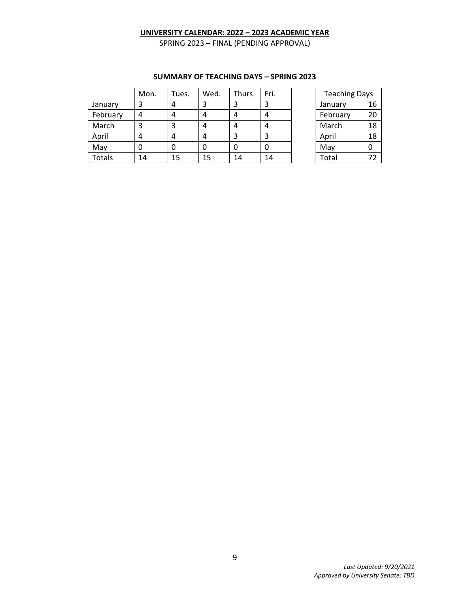SPRING 2023 – FINAL (PENDING APPROVAL)

|               | Mon. | Tues. | Wed. | Thurs. | Fri. | <b>Teaching Days</b> |    |
|---------------|------|-------|------|--------|------|----------------------|----|
| January       |      | 4     | 3    | 3      | 3    | January              | 16 |
| February      | 4    | 4     | 4    | 4      | 4    | February             | 20 |
| March         |      | 3     | 4    | 4      | 4    | March                | 18 |
| April         |      | 4     | 4    | 3      | 3    | April                | 18 |
| May           |      | 0     | 0    | 0      | 0    | May                  | 0  |
| <b>Totals</b> | 14   | 15    | 15   | 14     | 14   | Total                | 72 |

#### **SUMMARY OF TEACHING DAYS – SPRING 2023**

| <b>Teaching Days</b> |    |  |  |  |
|----------------------|----|--|--|--|
| 16<br>January        |    |  |  |  |
| February             | 20 |  |  |  |
| March                | 18 |  |  |  |
| April                | 18 |  |  |  |
| May                  | O  |  |  |  |
| Total                | 72 |  |  |  |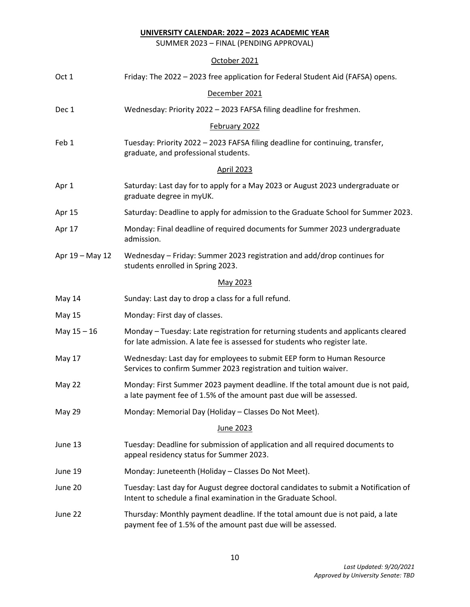SUMMER 2023 – FINAL (PENDING APPROVAL)

# October 2021

| Oct 1             | Friday: The 2022 - 2023 free application for Federal Student Aid (FAFSA) opens.                                                                                 |  |  |  |  |  |  |
|-------------------|-----------------------------------------------------------------------------------------------------------------------------------------------------------------|--|--|--|--|--|--|
| December 2021     |                                                                                                                                                                 |  |  |  |  |  |  |
| Dec 1             | Wednesday: Priority 2022 - 2023 FAFSA filing deadline for freshmen.                                                                                             |  |  |  |  |  |  |
|                   | February 2022                                                                                                                                                   |  |  |  |  |  |  |
| Feb 1             | Tuesday: Priority 2022 - 2023 FAFSA filing deadline for continuing, transfer,<br>graduate, and professional students.                                           |  |  |  |  |  |  |
| <b>April 2023</b> |                                                                                                                                                                 |  |  |  |  |  |  |
| Apr 1             | Saturday: Last day for to apply for a May 2023 or August 2023 undergraduate or<br>graduate degree in myUK.                                                      |  |  |  |  |  |  |
| Apr 15            | Saturday: Deadline to apply for admission to the Graduate School for Summer 2023.                                                                               |  |  |  |  |  |  |
| Apr 17            | Monday: Final deadline of required documents for Summer 2023 undergraduate<br>admission.                                                                        |  |  |  |  |  |  |
| Apr 19 - May 12   | Wednesday - Friday: Summer 2023 registration and add/drop continues for<br>students enrolled in Spring 2023.                                                    |  |  |  |  |  |  |
|                   | May 2023                                                                                                                                                        |  |  |  |  |  |  |
| May 14            | Sunday: Last day to drop a class for a full refund.                                                                                                             |  |  |  |  |  |  |
| May 15            | Monday: First day of classes.                                                                                                                                   |  |  |  |  |  |  |
| May $15 - 16$     | Monday - Tuesday: Late registration for returning students and applicants cleared<br>for late admission. A late fee is assessed for students who register late. |  |  |  |  |  |  |
| <b>May 17</b>     | Wednesday: Last day for employees to submit EEP form to Human Resource<br>Services to confirm Summer 2023 registration and tuition waiver.                      |  |  |  |  |  |  |
| May 22            | Monday: First Summer 2023 payment deadline. If the total amount due is not paid,<br>a late payment fee of 1.5% of the amount past due will be assessed.         |  |  |  |  |  |  |
| May 29            | Monday: Memorial Day (Holiday - Classes Do Not Meet).                                                                                                           |  |  |  |  |  |  |
| June 2023         |                                                                                                                                                                 |  |  |  |  |  |  |
| June 13           | Tuesday: Deadline for submission of application and all required documents to<br>appeal residency status for Summer 2023.                                       |  |  |  |  |  |  |
| June 19           | Monday: Juneteenth (Holiday - Classes Do Not Meet).                                                                                                             |  |  |  |  |  |  |
| June 20           | Tuesday: Last day for August degree doctoral candidates to submit a Notification of<br>Intent to schedule a final examination in the Graduate School.           |  |  |  |  |  |  |
| June 22           | Thursday: Monthly payment deadline. If the total amount due is not paid, a late<br>payment fee of 1.5% of the amount past due will be assessed.                 |  |  |  |  |  |  |